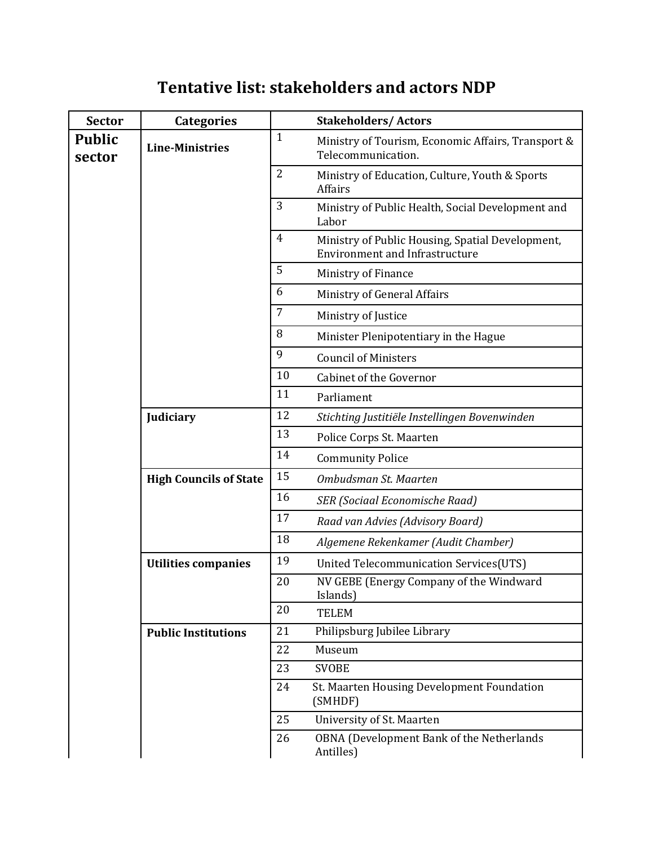## **Sector Categories Stakeholders/ Actors Public sector Line-Ministries** 1 Ministry of Tourism, Economic Affairs, Transport & Telecommunication. 2 Ministry of Education, Culture, Youth & Sports Affairs 3 Ministry of Public Health, Social Development and Labor 4 Ministry of Public Housing, Spatial Development, Environment and Infrastructure 5 Ministry of Finance 6 Ministry of General Affairs 7 Ministry of Justice 8 Minister Plenipotentiary in the Hague 9 Council of Ministers 10 Cabinet of the Governor 11 Parliament **Judiciary** 12 *Stichting Justitiële Instellingen Bovenwinden* 13 Police Corps St. Maarten 14 Community Police **High Councils of State** 15 *Ombudsman St. Maarten* 16 *SER (Sociaal Economische Raad)* 17 *Raad van Advies (Advisory Board)* 18 *Algemene Rekenkamer (Audit Chamber)* **Utilities companies** 19 United Telecommunication Services (UTS) 20 NV GEBE (Energy Company of the Windward Islands) 20 TELEM **Public Institutions** 21 Philipsburg Jubilee Library 22 Museum 23 SVOBE 24 St. Maarten Housing Development Foundation (SMHDF) 25 University of St. Maarten 26 OBNA (Development Bank of the Netherlands Antilles)

## **Tentative list: stakeholders and actors NDP**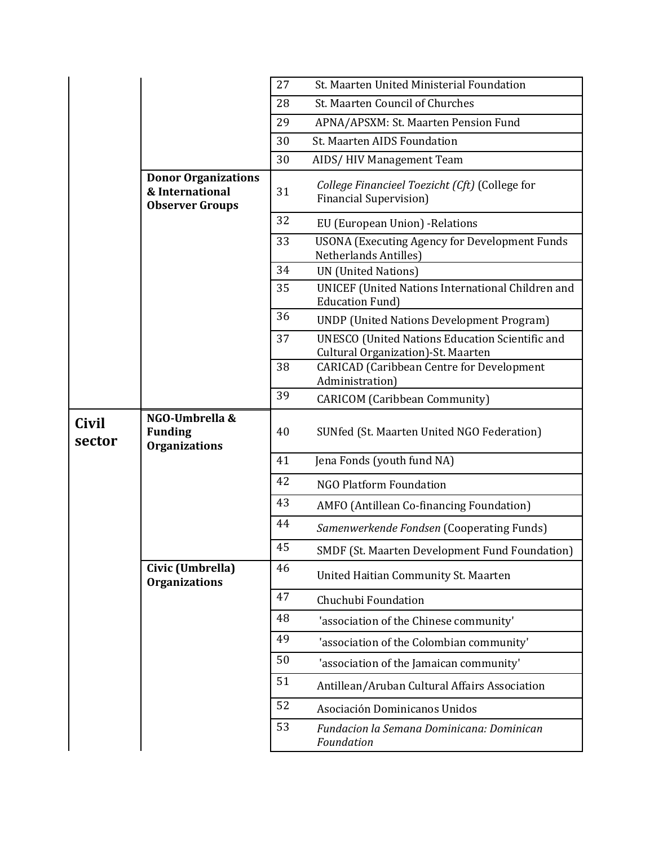|                        |                                                                         | 27 | St. Maarten United Ministerial Foundation                                                    |
|------------------------|-------------------------------------------------------------------------|----|----------------------------------------------------------------------------------------------|
|                        |                                                                         | 28 | St. Maarten Council of Churches                                                              |
|                        |                                                                         | 29 | APNA/APSXM: St. Maarten Pension Fund                                                         |
|                        |                                                                         | 30 | <b>St. Maarten AIDS Foundation</b>                                                           |
|                        |                                                                         | 30 | AIDS/HIV Management Team                                                                     |
|                        | <b>Donor Organizations</b><br>& International<br><b>Observer Groups</b> | 31 | College Financieel Toezicht (Cft) (College for<br><b>Financial Supervision)</b>              |
|                        |                                                                         | 32 | EU (European Union) - Relations                                                              |
|                        |                                                                         | 33 | <b>USONA</b> (Executing Agency for Development Funds<br>Netherlands Antilles)                |
|                        |                                                                         | 34 | <b>UN</b> (United Nations)                                                                   |
|                        |                                                                         | 35 | UNICEF (United Nations International Children and<br><b>Education Fund)</b>                  |
|                        |                                                                         | 36 | <b>UNDP</b> (United Nations Development Program)                                             |
|                        |                                                                         | 37 | <b>UNESCO</b> (United Nations Education Scientific and<br>Cultural Organization)-St. Maarten |
|                        |                                                                         | 38 | <b>CARICAD</b> (Caribbean Centre for Development<br>Administration)                          |
|                        |                                                                         | 39 | <b>CARICOM</b> (Caribbean Community)                                                         |
| <b>Civil</b><br>sector | NGO-Umbrella &<br><b>Funding</b><br><b>Organizations</b>                | 40 | SUNfed (St. Maarten United NGO Federation)                                                   |
|                        |                                                                         | 41 | Jena Fonds (youth fund NA)                                                                   |
|                        |                                                                         | 42 | <b>NGO Platform Foundation</b>                                                               |
|                        |                                                                         | 43 | AMFO (Antillean Co-financing Foundation)                                                     |
|                        |                                                                         | 44 | Samenwerkende Fondsen (Cooperating Funds)                                                    |
|                        |                                                                         | 45 | SMDF (St. Maarten Development Fund Foundation)                                               |
|                        | Civic (Umbrella)<br><b>Organizations</b>                                | 46 | United Haitian Community St. Maarten                                                         |
|                        |                                                                         | 47 | Chuchubi Foundation                                                                          |
|                        |                                                                         | 48 | 'association of the Chinese community'                                                       |
|                        |                                                                         | 49 | 'association of the Colombian community'                                                     |
|                        |                                                                         | 50 | 'association of the Jamaican community'                                                      |
|                        |                                                                         | 51 | Antillean/Aruban Cultural Affairs Association                                                |
|                        |                                                                         | 52 | Asociación Dominicanos Unidos                                                                |
|                        |                                                                         | 53 | Fundacion la Semana Dominicana: Dominican<br>Foundation                                      |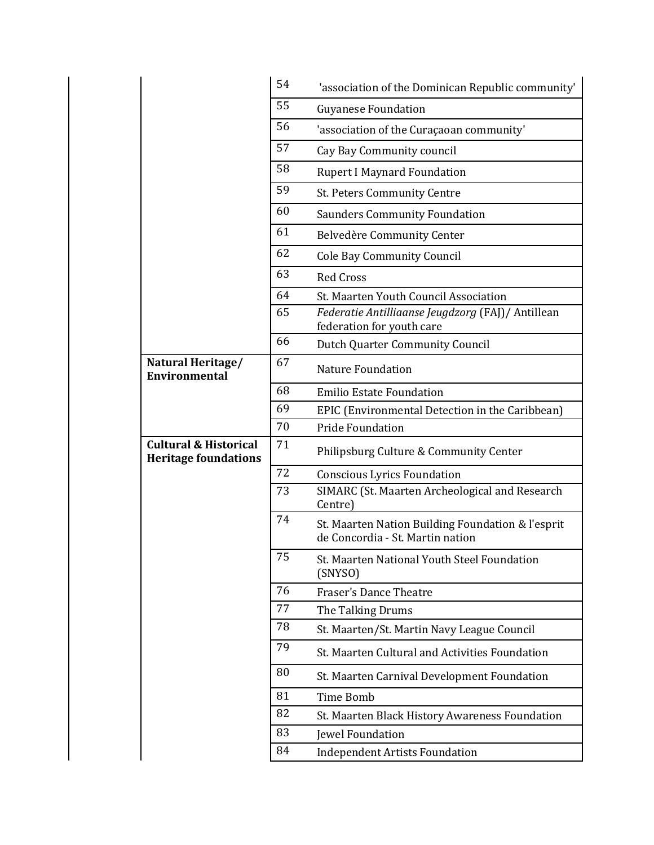|                                           | 54 | 'association of the Dominican Republic community'                                     |
|-------------------------------------------|----|---------------------------------------------------------------------------------------|
|                                           | 55 | <b>Guyanese Foundation</b>                                                            |
|                                           | 56 | 'association of the Curaçaoan community'                                              |
|                                           | 57 | Cay Bay Community council                                                             |
|                                           | 58 | <b>Rupert I Maynard Foundation</b>                                                    |
|                                           | 59 | St. Peters Community Centre                                                           |
|                                           | 60 | <b>Saunders Community Foundation</b>                                                  |
|                                           | 61 | Belvedère Community Center                                                            |
|                                           | 62 | <b>Cole Bay Community Council</b>                                                     |
|                                           | 63 | <b>Red Cross</b>                                                                      |
|                                           | 64 | St. Maarten Youth Council Association                                                 |
|                                           | 65 | Federatie Antilliaanse Jeugdzorg (FAJ)/ Antillean<br>federation for youth care        |
|                                           | 66 | <b>Dutch Quarter Community Council</b>                                                |
| Natural Heritage/<br><b>Environmental</b> | 67 | <b>Nature Foundation</b>                                                              |
|                                           | 68 | <b>Emilio Estate Foundation</b>                                                       |
|                                           | 69 | EPIC (Environmental Detection in the Caribbean)                                       |
|                                           | 70 | Pride Foundation                                                                      |
| <b>Cultural &amp; Historical</b>          | 71 | Philipsburg Culture & Community Center                                                |
| <b>Heritage foundations</b>               |    |                                                                                       |
|                                           | 72 | <b>Conscious Lyrics Foundation</b>                                                    |
|                                           | 73 | SIMARC (St. Maarten Archeological and Research<br>Centre)                             |
|                                           | 74 | St. Maarten Nation Building Foundation & l'esprit<br>de Concordia - St. Martin nation |
|                                           | 75 | St. Maarten National Youth Steel Foundation<br>(SNYSO)                                |
|                                           | 76 | <b>Fraser's Dance Theatre</b>                                                         |
|                                           | 77 | The Talking Drums                                                                     |
|                                           | 78 | St. Maarten/St. Martin Navy League Council                                            |
|                                           | 79 | St. Maarten Cultural and Activities Foundation                                        |
|                                           | 80 | St. Maarten Carnival Development Foundation                                           |
|                                           | 81 | Time Bomb                                                                             |
|                                           | 82 | St. Maarten Black History Awareness Foundation                                        |
|                                           | 83 | Jewel Foundation                                                                      |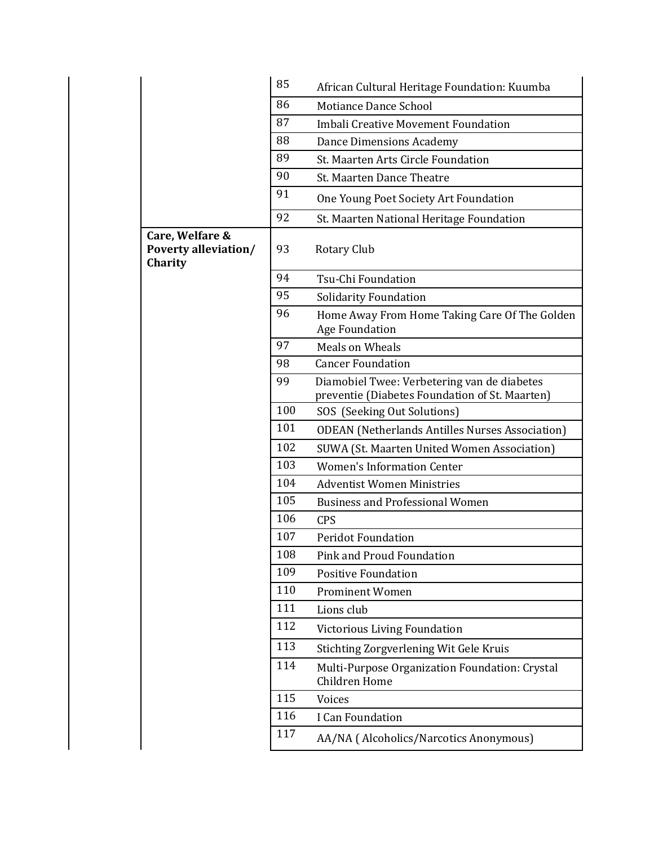|                                                           | 85  | African Cultural Heritage Foundation: Kuumba                                                  |  |
|-----------------------------------------------------------|-----|-----------------------------------------------------------------------------------------------|--|
|                                                           | 86  | <b>Motiance Dance School</b>                                                                  |  |
|                                                           | 87  | Imbali Creative Movement Foundation                                                           |  |
|                                                           | 88  | <b>Dance Dimensions Academy</b>                                                               |  |
|                                                           | 89  | St. Maarten Arts Circle Foundation                                                            |  |
|                                                           | 90  | St. Maarten Dance Theatre                                                                     |  |
|                                                           | 91  | One Young Poet Society Art Foundation                                                         |  |
|                                                           | 92  | St. Maarten National Heritage Foundation                                                      |  |
| Care, Welfare &<br><b>Poverty alleviation/</b><br>Charity | 93  | Rotary Club                                                                                   |  |
|                                                           | 94  | Tsu-Chi Foundation                                                                            |  |
|                                                           | 95  | <b>Solidarity Foundation</b>                                                                  |  |
|                                                           | 96  | Home Away From Home Taking Care Of The Golden<br><b>Age Foundation</b>                        |  |
|                                                           | 97  | <b>Meals on Wheals</b>                                                                        |  |
|                                                           | 98  | <b>Cancer Foundation</b>                                                                      |  |
|                                                           | 99  | Diamobiel Twee: Verbetering van de diabetes<br>preventie (Diabetes Foundation of St. Maarten) |  |
|                                                           | 100 | SOS (Seeking Out Solutions)                                                                   |  |
|                                                           | 101 | <b>ODEAN</b> (Netherlands Antilles Nurses Association)                                        |  |
|                                                           | 102 | <b>SUWA (St. Maarten United Women Association)</b>                                            |  |
|                                                           | 103 | <b>Women's Information Center</b>                                                             |  |
|                                                           | 104 | <b>Adventist Women Ministries</b>                                                             |  |
|                                                           | 105 | <b>Business and Professional Women</b>                                                        |  |
|                                                           | 106 | <b>CPS</b>                                                                                    |  |
|                                                           | 107 | <b>Peridot Foundation</b>                                                                     |  |
|                                                           | 108 | <b>Pink and Proud Foundation</b>                                                              |  |
|                                                           | 109 | <b>Positive Foundation</b>                                                                    |  |
|                                                           | 110 | <b>Prominent Women</b>                                                                        |  |
|                                                           | 111 | Lions club                                                                                    |  |
|                                                           | 112 | Victorious Living Foundation                                                                  |  |
|                                                           | 113 | Stichting Zorgverlening Wit Gele Kruis                                                        |  |
|                                                           | 114 | Multi-Purpose Organization Foundation: Crystal<br><b>Children Home</b>                        |  |
|                                                           | 115 | Voices                                                                                        |  |
|                                                           | 116 | I Can Foundation                                                                              |  |
|                                                           | 117 | AA/NA (Alcoholics/Narcotics Anonymous)                                                        |  |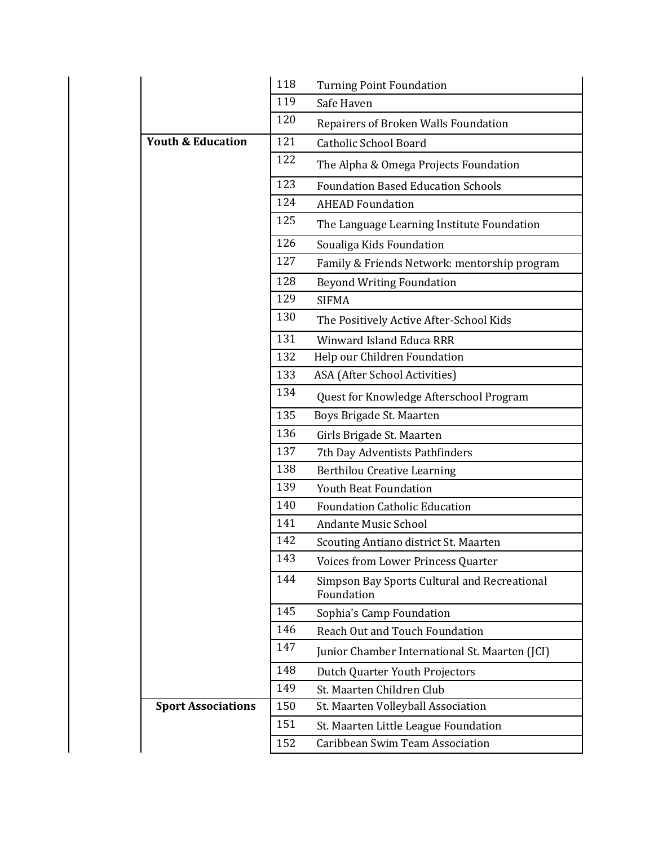|                              | 118                                                 | <b>Turning Point Foundation</b>                            |
|------------------------------|-----------------------------------------------------|------------------------------------------------------------|
|                              | 119<br>Safe Haven                                   |                                                            |
|                              | 120                                                 | Repairers of Broken Walls Foundation                       |
| <b>Youth &amp; Education</b> | 121<br><b>Catholic School Board</b>                 |                                                            |
|                              | 122                                                 | The Alpha & Omega Projects Foundation                      |
|                              | 123<br><b>Foundation Based Education Schools</b>    |                                                            |
|                              | 124<br><b>AHEAD Foundation</b>                      |                                                            |
|                              | 125<br>The Language Learning Institute Foundation   |                                                            |
|                              | 126<br>Soualiga Kids Foundation                     |                                                            |
|                              | 127<br>Family & Friends Network: mentorship program |                                                            |
|                              | 128<br><b>Beyond Writing Foundation</b>             |                                                            |
|                              | 129<br><b>SIFMA</b>                                 |                                                            |
|                              | 130                                                 | The Positively Active After-School Kids                    |
|                              | 131                                                 | Winward Island Educa RRR                                   |
|                              | 132<br>Help our Children Foundation                 |                                                            |
|                              | 133                                                 | ASA (After School Activities)                              |
|                              | 134<br>Quest for Knowledge Afterschool Program      |                                                            |
|                              | 135<br>Boys Brigade St. Maarten                     |                                                            |
|                              | 136<br>Girls Brigade St. Maarten                    |                                                            |
|                              | 137<br>7th Day Adventists Pathfinders               |                                                            |
|                              | 138<br><b>Berthilou Creative Learning</b>           |                                                            |
|                              | 139<br><b>Youth Beat Foundation</b>                 |                                                            |
|                              | 140                                                 | <b>Foundation Catholic Education</b>                       |
|                              | 141                                                 | <b>Andante Music School</b>                                |
|                              | 142                                                 | Scouting Antiano district St. Maarten                      |
|                              | 143                                                 | Voices from Lower Princess Quarter                         |
|                              | 144                                                 | Simpson Bay Sports Cultural and Recreational<br>Foundation |
|                              | 145                                                 | Sophia's Camp Foundation                                   |
|                              | 146                                                 | Reach Out and Touch Foundation                             |
|                              | 147                                                 | Junior Chamber International St. Maarten (JCI)             |
|                              | 148                                                 | Dutch Quarter Youth Projectors                             |
|                              | 149                                                 | St. Maarten Children Club                                  |
| <b>Sport Associations</b>    | 150                                                 | St. Maarten Volleyball Association                         |
|                              | 151                                                 | St. Maarten Little League Foundation                       |
|                              | 152                                                 | Caribbean Swim Team Association                            |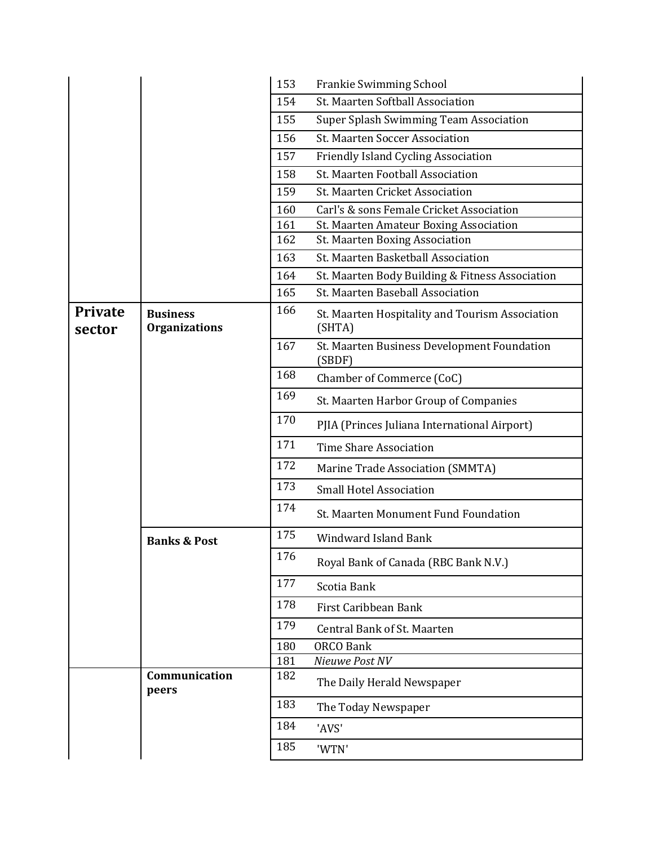|                          |                                         | 153 | <b>Frankie Swimming School</b>                            |
|--------------------------|-----------------------------------------|-----|-----------------------------------------------------------|
|                          |                                         | 154 | St. Maarten Softball Association                          |
|                          |                                         | 155 | <b>Super Splash Swimming Team Association</b>             |
|                          |                                         | 156 | St. Maarten Soccer Association                            |
|                          |                                         | 157 | Friendly Island Cycling Association                       |
|                          |                                         | 158 | St. Maarten Football Association                          |
|                          |                                         | 159 | St. Maarten Cricket Association                           |
|                          |                                         | 160 | Carl's & sons Female Cricket Association                  |
|                          |                                         | 161 | St. Maarten Amateur Boxing Association                    |
|                          |                                         | 162 | St. Maarten Boxing Association                            |
|                          |                                         | 163 | St. Maarten Basketball Association                        |
|                          |                                         | 164 | St. Maarten Body Building & Fitness Association           |
|                          |                                         | 165 | St. Maarten Baseball Association                          |
| <b>Private</b><br>sector | <b>Business</b><br><b>Organizations</b> | 166 | St. Maarten Hospitality and Tourism Association<br>(SHTA) |
|                          |                                         | 167 | St. Maarten Business Development Foundation<br>(SBDF)     |
|                          |                                         | 168 | Chamber of Commerce (CoC)                                 |
|                          |                                         | 169 | St. Maarten Harbor Group of Companies                     |
|                          |                                         | 170 | PJIA (Princes Juliana International Airport)              |
|                          |                                         | 171 | <b>Time Share Association</b>                             |
|                          |                                         | 172 | Marine Trade Association (SMMTA)                          |
|                          |                                         | 173 | <b>Small Hotel Association</b>                            |
|                          |                                         | 174 | St. Maarten Monument Fund Foundation                      |
|                          | <b>Banks &amp; Post</b>                 | 175 | <b>Windward Island Bank</b>                               |
|                          |                                         | 176 | Royal Bank of Canada (RBC Bank N.V.)                      |
|                          |                                         | 177 | Scotia Bank                                               |
|                          |                                         | 178 | First Caribbean Bank                                      |
|                          |                                         | 179 | Central Bank of St. Maarten                               |
|                          |                                         | 180 | <b>ORCO Bank</b>                                          |
|                          |                                         | 181 | Nieuwe Post NV                                            |
|                          | Communication<br>peers                  | 182 | The Daily Herald Newspaper                                |
|                          |                                         | 183 | The Today Newspaper                                       |
|                          |                                         | 184 | 'AVS'                                                     |
|                          |                                         | 185 | 'WTN'                                                     |